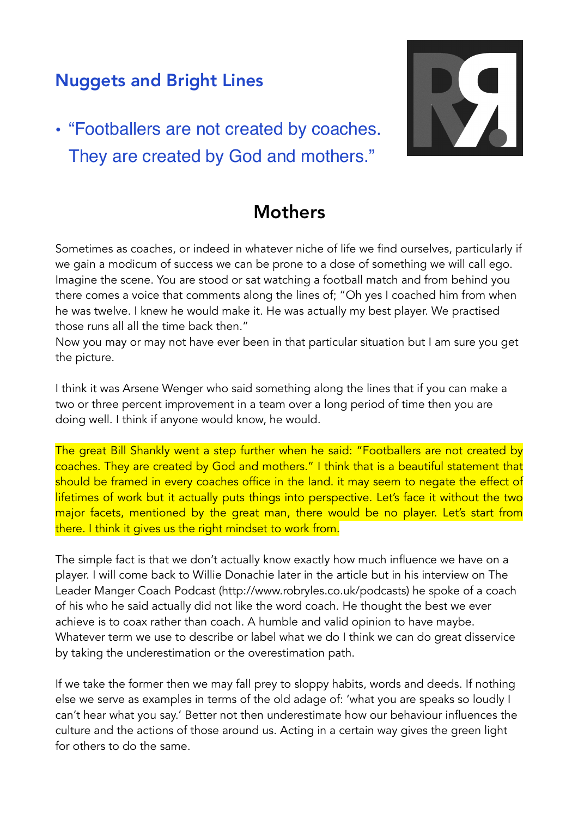## Nuggets and Bright Lines

• "Footballers are not created by coaches. They are created by God and mothers."



## **Mothers**

Sometimes as coaches, or indeed in whatever niche of life we find ourselves, particularly if we gain a modicum of success we can be prone to a dose of something we will call ego. Imagine the scene. You are stood or sat watching a football match and from behind you there comes a voice that comments along the lines of; "Oh yes I coached him from when he was twelve. I knew he would make it. He was actually my best player. We practised those runs all all the time back then."

Now you may or may not have ever been in that particular situation but I am sure you get the picture.

I think it was Arsene Wenger who said something along the lines that if you can make a two or three percent improvement in a team over a long period of time then you are doing well. I think if anyone would know, he would.

The great Bill Shankly went a step further when he said: "Footballers are not created by coaches. They are created by God and mothers." I think that is a beautiful statement that should be framed in every coaches office in the land. it may seem to negate the effect of lifetimes of work but it actually puts things into perspective. Let's face it without the two major facets, mentioned by the great man, there would be no player. Let's start from there. I think it gives us the right mindset to work from.

The simple fact is that we don't actually know exactly how much influence we have on a player. I will come back to Willie Donachie later in the article but in his interview on The Leader Manger Coach Podcast (http://www.robryles.co.uk/podcasts) he spoke of a coach of his who he said actually did not like the word coach. He thought the best we ever achieve is to coax rather than coach. A humble and valid opinion to have maybe. Whatever term we use to describe or label what we do I think we can do great disservice by taking the underestimation or the overestimation path.

If we take the former then we may fall prey to sloppy habits, words and deeds. If nothing else we serve as examples in terms of the old adage of: 'what you are speaks so loudly I can't hear what you say.' Better not then underestimate how our behaviour influences the culture and the actions of those around us. Acting in a certain way gives the green light for others to do the same.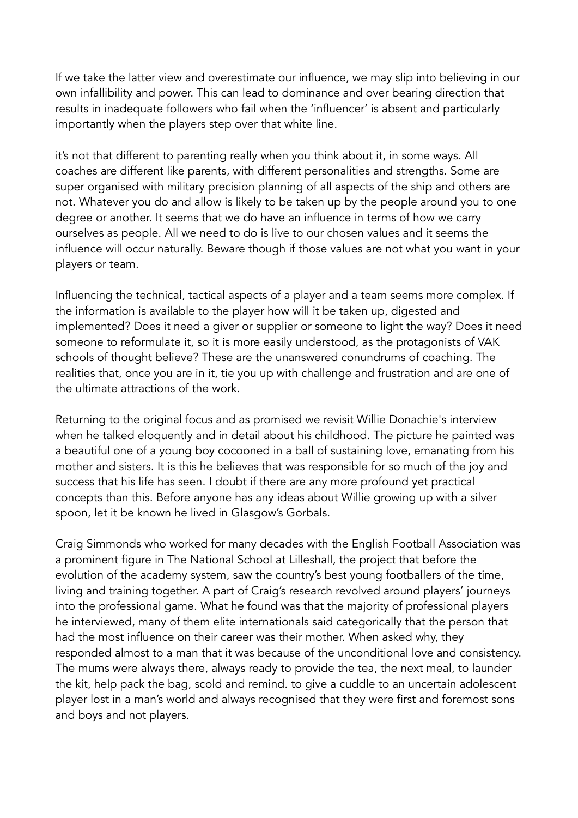If we take the latter view and overestimate our influence, we may slip into believing in our own infallibility and power. This can lead to dominance and over bearing direction that results in inadequate followers who fail when the 'influencer' is absent and particularly importantly when the players step over that white line.

it's not that different to parenting really when you think about it, in some ways. All coaches are different like parents, with different personalities and strengths. Some are super organised with military precision planning of all aspects of the ship and others are not. Whatever you do and allow is likely to be taken up by the people around you to one degree or another. It seems that we do have an influence in terms of how we carry ourselves as people. All we need to do is live to our chosen values and it seems the influence will occur naturally. Beware though if those values are not what you want in your players or team.

Influencing the technical, tactical aspects of a player and a team seems more complex. If the information is available to the player how will it be taken up, digested and implemented? Does it need a giver or supplier or someone to light the way? Does it need someone to reformulate it, so it is more easily understood, as the protagonists of VAK schools of thought believe? These are the unanswered conundrums of coaching. The realities that, once you are in it, tie you up with challenge and frustration and are one of the ultimate attractions of the work.

Returning to the original focus and as promised we revisit Willie Donachie's interview when he talked eloquently and in detail about his childhood. The picture he painted was a beautiful one of a young boy cocooned in a ball of sustaining love, emanating from his mother and sisters. It is this he believes that was responsible for so much of the joy and success that his life has seen. I doubt if there are any more profound yet practical concepts than this. Before anyone has any ideas about Willie growing up with a silver spoon, let it be known he lived in Glasgow's Gorbals.

Craig Simmonds who worked for many decades with the English Football Association was a prominent figure in The National School at Lilleshall, the project that before the evolution of the academy system, saw the country's best young footballers of the time, living and training together. A part of Craig's research revolved around players' journeys into the professional game. What he found was that the majority of professional players he interviewed, many of them elite internationals said categorically that the person that had the most influence on their career was their mother. When asked why, they responded almost to a man that it was because of the unconditional love and consistency. The mums were always there, always ready to provide the tea, the next meal, to launder the kit, help pack the bag, scold and remind. to give a cuddle to an uncertain adolescent player lost in a man's world and always recognised that they were first and foremost sons and boys and not players.